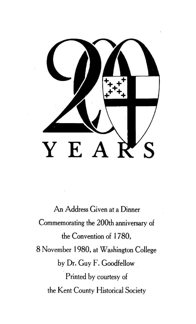

An Address Given at a Dinner Commemorating the 200th anniversary of the Convention of 1780, 8 November 1980, at Washington College by Dr. Guy F. Goodfellow Printed by courtesy of the Kent County Historical Society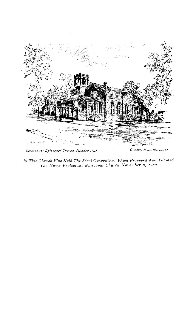

Emmanuel Episcopal Church-founded 1707

Chestertown, Maryland

In This Church Was Held The First Convention Which Proposed And Adopted<br>The Name Protestant Episcopal Church November 9, 1780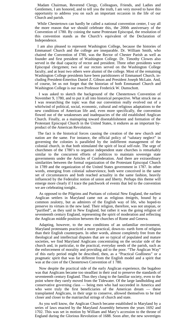Madam Chairman, Reverend Clergy, Colleagues, Friends, and Ladies and Gentlemen, I am honored, and to tell you the truth, I am very moved to have this opportunity to address you on such an important occasion in the life of our Church and parish.

While Chestertown can hardly be called a national convention center, I say all the more reason that we should celebrate this, the 200th anniversary of the Convention of 1780. By coining the name Protestant Episcopal, the resolution of this convention stands as the Church's equivalent of the Declaration of Independence.

I am also pleased to represent Washington College, because the histories of Emmanuel Church and the college are inseparable. Dr. William Smith, who chaired the Convention of I780, was the Rector of Chester Parish as well as founder and first president of Washington College. Dr. Timothy Clowes also served in the dual capacity of rector and president. Three other presidents were Episcopal clergymen; two of our rectors served on the Washington College faculty, and at least two others were alumni of the college. Most of the remaining Washington College presidents have been parishioners of Emmanuel Church, including President-Emeritus Daniel Z. Gibson and President Joseph McLain. And, of course, let us not forget that the historian of both Emmanuel Church and Washington College is our own Professor Frederick W. Dumschott.

I was asked to sketch the background of the Chestertown Convention of November 9, 1780, and to put it all into historical perspective. What struck me as I was researching the topic was that our convention really evolved out of a whirlwind of political, social, economic, cultural and religious adaptations to the new conditions of American life and, even more specifically, the convention flowed out of the weaknesses and inadequacies of the old established Anglican Church. Finally, as a mainspring toward disestablishment and formation of the Protestant Episcopal Church in the United States, it endures as an important byproduct of the American Revolution.

The fact is the historical forces causing the creation of the new church and nation are the same. For instance, the official policy of "salutary neglect" in governing the colonies is paralleled by the indifferent management of the colonial church, in that both stimulated the spirit of local self-rule. The urge of churchmen of the 1780's to organize independent state churches is remarkably similar to the concurrent efforts of politicos to maintain sovereign state governments under the Articles of Confederation. And there are extraordinary similarities between the formal organization of the Protestant Episcopal Church in 1789 and the organization of the United States government in 1787. In other words, emerging from colonial subservience, both were conceived in the same set of circumstances and both reached actuality in the same fashion, heavily influenced by the Federalist notion of union and liberty. Perhaps this theme will emerge more clearly if I trace the patchwork of events that led to the convention we are celebrating tonight..

As opposed to the Pilgrims and Puritans of colonial New England, the earliest Anglican settlers in Maryland came not as religious émigrés, bound by a common zealotry, but as admirers of the English way of life, who hoped-to preserve its virtues in the new land. Their religion, therefore, was not utopian, or "purified", as they said in New England, but rather it was the going religion of seventeenth century England, representing the spirit of moderation and reflecting the Anglican middle position between the churches of Rome and Geneva.

Adapting, however, to the new conditions of an unfamiliar environment, Maryland protestants practiced a more practical, down-to- earth form of religion than their English counterparts. In other words, almost completely free from the theological and intellectual disputes that are so typical of populated and mature societies, we find Maryland Anglicans concentrating on the secular side of the church and, in particular, to the practical, everyday needs of the parish, such as the enforcement of morality and providing aid to the poor. "The Anglican Way" of this early period might be described, then, as a "Practical Godliness" or a pragmatic spirit that was far different from the English model and a spirit that was at the core of the Chestertown Convention of 1 780.

Now despite the practical side of the early Anglican experience, the bugaboo was that Anglicans became too steadfast in their zeal to preserve the standards of seventeenth century England. Thus they clung to the familiar society, even to the point where they rarely moved from the Tidewater. Of the large landholding and conservative governing class — being men who had succeeded in America and who were truly the first beneficiaries of the American dream — these transplanted Anglicans, in their urge to conserve, allowed themselves to be tied closer and closer to the matriarchal strings of church and state.

As you well know, the Anglican Church became established in Maryland by a series of laws enacted by the Maryland Assembly between the years 1692 and 1702. This was set in motion by William and Mary's accession to the throne of England during the Glorious Revolution of 1688. Soon after, the new sovereigns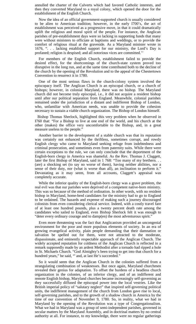annulled the charter of the Calverts which had favored Catholic interests, and then they converted Maryland to a royal colony, which opened the door for the establishment of the English Church.

Now the idea of an official government-supported church is usually considered to be alien to American tradition; however, in the early I700's, the act of establishment was perceived as a progressive move, in that it could dramatically uplift the religious and moral spirit of the people. For instance, the Anglican parishes of pre-establishment days were so lacking in supporting funds that many were without ministers to officiate at baptisms and weddings, or to provide the comfort of religious ritual at the graveside. As a Maryland minister wrote in 1676, ". . . lacking established support for our ministry, the Lord's Day is profaned; religion is despised; and all notorious vices are committed.''

For members of the English Church, establishment failed to provide the desired effect, for the shortcomings of the church-state system proved too disruptive in the long run, and at the same time contributed both to the decline of the church by the opening of the Revolution and to the appeal of the Chestertown Convention to resurrect it in 1780.

One of the most serious flaws in the church-colony system involved the episcopacy itself. The Anglican Church is an episcopal church, or a church of bishops; however, in colonial Maryland, there was no bishop. The Maryland church did not become truly episcopal, i.e., it did not acquire a resident bishop until after our political separation from England. Meanwhile, colonial parishes remained under the jurisdiction of a distant and indifferent Bishop of London, who, unfamiliar with American needs, was unable to provide the cohesion necessary to sustain a viable church organization. The Bishop of London himself.

Bishop Thomas Sherlock, highlighted this very problem when he observed in I760 that: "For a Bishop to live at one end of the world, and his church at the other (makes) the office very uncomfortable to the Bishop, and, in a great measure useless to the people."

Another barrier to the development of a stable church was that its reputation was certainly not enhanced by the thriftless, sometimes corrupt, and rowdy English clergy who came to Maryland seeking refuge from indebtedness and criminal prosecution, and sometimes even from paternity suits. While there were certain exceptions to the rule, we can only conclude that the deportment of the English-born clergy in America was shameful. As the Rev. Thomas J. Claggett, later the first Bishop of Maryland, said in 1 768: "Too many of my brethern. . . (are) a shocking set (to say no worse of them), having neither abilities, nor a sense of their duty, nor (what is worse than all), an inclination to perform it." Devastating as it may seem, from all accounts, Claggett's appraisal was completely accurate.

While the inferior quality of the English-born clergy was a grave problem, the real evil was that our parishes were deprived of a competent native-born ministry. This was so because of the method of ordination. In other words, with no resident bishop in Maryland, home-bred candidates for the ministry had to go to England to be ordained. The hazards and expense of making such a journey discouraged colonists from even considering clerical service. Indeed, with a costly travel fare of at least one hundred pounds, plus a twenty percent death rate among the candidates who sailed to England, even Bishop Sherlock felt it was enough to "deter every ordinary courage and to damp(en) the most adventurous spirit."

Even more threatening was the fact that Anglicanism provided an uncongenial environment for the poor and more populous elements of society. In an era of growing evangelical activity, plain people demanding that their damnation or salvation be spelled out for them, were not attracted to the moderate, dispassionate, and eminently respectable approach of the Anglican Church. The widely accepted reputation for coldness of the Anglican Church is reflected in a remark supposedly made by an ardent Methodist after a tornado had ripped a hole in St. Michaels Church. "God Almighty's been trying to get into that church for a hundred years," he said, "' and, at last He's succeeded."

So it would seem that the Anglican Church in the colonies suffered from a strangulating combination of weaknesses. But once again, Maryland churchmen revealed their genius for adaptation. To offset the burdens of a headless church organization in the colonies, of an inferior clergy, and of an indifferent and remote English bishop, Maryland churches became increasingly self-governing as they successfully diffused the episcopal power into the local vestries. Like the British imperial policy of "salutary neglect" that inspired self-governing political units, the indifferent management of the church from London gave rise to local, self-governing parishes, and to the growth of a shadow church in America by the time of our convention of November 9, 1780. So, in reality, what we had in Maryland by the opening of the Revolution was a type of Congregationalism. What we had in Maryland was a group of semi-independent parishes, governed in secular matters by the Maryland Assembly, and in doctrinal matters by no central authority at all. For instance, to my knowledge, there were no regular gatherings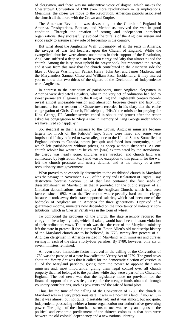of clergymen, and there was no substantive voice of dogma, which makes the Chestertown Convention of I780 even more revolutionary in its implications. Meantime, the closer we move to the Revolution, American patriots associated the church all the more with the Crown and Empire.

The American Revolution was devastating to the Church of England in America. Presbyterians, Baptists, and Methodists survived the war in good condition. Through the creation of strong and independent homebred organizations, they successfully avoided the pitfalls of the Anglican system and stood ready to assume a new role of leadership in the country.

But what about the Anglicans? Well, undeniably, of all the sects in America, the ravages of war fell heaviest upon the Church of England. While the evangelical churches were almost unanimous in their support of the Revolution, Anglicans suffered a deep schism between clergy and laity that almost ruined the church. Among the laity, most upheld the prayer book, but renounced the crown, and it was from this rank that the church contributed to the American side the likes of George Washington, Patrick Henry, John Jay, and James Madison, and the Marylanders Samuel Chase and William Paca. Incidentally, it may interest you to know that two-thirds of the signers of the Declaration of Independence were Anglicans.

In contrast to the patriotism of parishioners, most Anglican clergymen in America were dedicated Loyalists, who in the very act of ordination had had to swear permanent allegiance to the King of England. Eighteenth century records reveal almost unbearable tension and alienation between clergy and laity. For instance, a former resident of Chestertown recorded in his diary that the entire congregation of Christ Church, Philadelphia, "Hiss'd the minister for praying for King George, III. Another service ended in shouts and protest after the rector asked his congregation to "drop a tear in memory of King George under whom we have lived so happ(il)y.'

So, steadfast in their allegiance to the Crown, Anglican ministers became targets for much of the Patriots' fury. Some were fined and some were imprisoned if they refused to swear allegiance to the United States. Some fled to England, others to Canada, others just quit and faded into anonymity, all of which left parishioners without priests, as sheep without shepherds. As one church scholar has written: "The church [was] exterminated by the Revolution. the clergy was nearly gone; churches were wrecked; and church land was confiscated by legislation. Maryland was no exception to this pattern, for the war left the church prostrate and nearly defunct, and at the mercy of a new revolutionary state government.

What proved to be especially destructive to the established church in Maryland was the passage in November, 1776, of the Maryland Declaration of Rights. I say destructive because Section 33 of that law contained the first seeds of disestablishment in Maryland, in that it provided for the public support of all Christian denominations, and not just the Anglican Church, which had been favored since 1692. Also the Declaration was especially hard on the clergy, because it took away their state-supported salaries, which had been one of the bedrocks of Anglicanism in America for three generations. Deprived of a guaranteed income, ministers now depended on the uncertainty of voluntary contributions, which in Chester Parish was in the form of wheat.

To compound the problems of the church, the state assembly required the clergy to take a loyalty oath, which, if taken, would have been a blatant violation of their ordination vows. The result was that the core of the Maryland ministry left the state in protest. If the figures of Dr. Ethan Allen's old manuscript history of the Maryland church are to be believed, in I776, twenty-five percent of all Anglican clergymen in America resided in Maryland, with ministers and curates serving in each of the state's forty-four parishes. By 1780, however, only six or seven ministers remained.

An even more immediate factor involved in the calling of the Convention of 1780 was the passage of a state law called the Vestry Act of I779. The good news about the Vestry Act was that it called for the democratic election of vestries in all of the Maryland parishes, giving them the power to appoint their own ministers and, most importantly, giving them legal control over all church property that had belonged to the parishes while they were a part of the Church of England. The bad news was that the legislature made no provision for the financial support of the vestries, except for the meager funds obtained through voluntary contributions, such as pew rents and the sale of burial plots.

Thus, by the time of the calling of the Convention of 1780, the church in Maryland was in a very precarious state. It was in a no-man's land, if you will, in that it was almost, but not quite, disestablished; and it was almost, but not quite, independent, possessing neither a home organization nor authoritative governing power. The plight of the church, it seems to me, was really analogous to the political and economic predicament of the thirteen colonies in that both were between the old colonial dependency and a new national identity.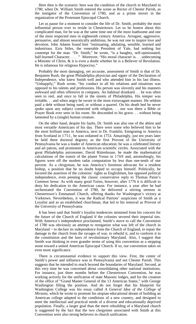Here then is the scenario: here was the condition of the church in Maryland in 1780, when Dr. William Smith entered the scene as Rector of Chester Parish, as the instigator of the Convention of 1780, and as a prime mover in the organization of the Protestant Episcopal Church.

Let us pause for a moment to consider the life of Dr. Smith, probably the most influential person ever to reside in Chestertown. Let us be honest about this complicated man, for he was at the same time one of the most loathsome and one of the most respected men in eighteenth century America. Arrogant, aggressive, persuasive, and almost neurotically ambitious, he was not one to inspire love and devotion. John Adams found him "insinuating, adulating, sensible, learned and industrious. Ezra Stiles, the venerable President of Yale, had nothing but contempt for the man. "Dr. Smith," he wrote, "is a haughty, self-opinionated, half-learned Character. . . . " Moreover, "His moral character is. . . unbecoming a Minister of Christ, & it is even a doubt whether he is a Believer of Revelation. He is infamous for religious Hypocrisy."

Probably the most damaging, yet accurate, assessment of Smith is that of Dr. Benjamin Rush, the great Philadelphia physician and signer of the Declaration of Independence, who knew Smith well and who attended him in his last illness. "Unhappily," Rush wrote, "his conduct in all his relations and situations was opposed to his talents and professions. His person was slovenly and his manners awkward and often offensive in company. An habitual drunkard. . . he was often seen to reel, and once to fall in the streets of Philadelphia. His temper was irritable. . . and when angry he swore in the most extravagant manner. He seldom paid a debt without being sued, or without a quarrel. On his death bed he never spoke upon any subject connected with religion. . . nor was there a Bible or Prayer Book ever seen in his room. He descended to his grave. . . without being lamented by a (single) human creature.

On the other hand, despite his faults, Dr. Smith was also one of the ablest and most versatile Americans of his day. There were some who believed him to be the most brilliant man in America, next to Dr. Franklin. Emigrating to America from Scotland in 1751, he was ordained in 1753. Amazingly, just ten years later he held three doctoral degrees; as the first Provost of the University of Pennsylvania he was a leader of American education; he was a celebrated literary and art patron, and prominent in American scientific circles. Associated with the great Philadelphia astronomer, David Rittenhouse, he made the mathematical calculations of the transit of the planet Venus in 1769 and, astonishingly, his figures were off the modem radar computation by less than one-tenth of one percent. As a clergyman, he was America's foremost advocate for a resident bishop, a position that he no doubt hoped to occupy himself. Politically, he favored the assertion of the colonists' rights as Englishmen, but opposed political independence, even penning the classic conservative reply to Thomas Paine's *Common Sense.* As with many good Tories, however, after 1776 it is difficult to deny his dedication to the American cause. For instance, a year after he had orchestrated the Convention of I780, he delivered a stirring sermon in Chestertown's Emmanuel Church, offering thanks for Washington's victory at Yorktown. Nevertheless, it was the Radical Patriots' suspicions of Smith as a Loyalist and as an established churchman, that led to his removal as Provost of the University of Pennsylvania

It has been said that Smith's loyalist tendencies stemmed from his concern for the future of the Church of England if the colonies severed their imperial ties. With America's independence proclaimed, Smith's move to call the Convention of 1780 was obviously an attempt to reorganize what was left of the church in Maryland  $\sim$  to declare its independence from the Church of England, to repair the damage to the church from the ravages of war, to rebuild it, and to conform it to the constitution and the laws of revolutionary Maryland. Also, I suggest that Smith was thinking in even grander terms of using this convention as a stepping stone toward a united American Episcopal Church. If so, our convention takes on even more significance.

There is circumstantial evidence to support this view. First, the center of Smith's power and influence was in Pennsylvania and not Chester Parish. This suggests that he intended to reach beyond the boundaries of Maryland. Second, at this very time he was concerned about consolidating other national institutions. For instance, just three months before the Chestertown Convention, he was working actively for the unification of state Masonic lodges, and for the creation of the office of "Grand Master General of the 13 American States," with George Washington filling the position. And do not forget that his blueprint for Washington College was his essay called *A General Idea of the College of Mirania,* which he wrote to promote his utopian educational dream of building an American college adapted to the conditions of a new country, and designed to meet the intellectual and practical needs of a diverse and educationally deprived population. Finally, a larger goal than the mere rebuilding of a Maryland church is suggested by the fact that the two clergymen associated with Smith at this Convention were also strong believers in church unification.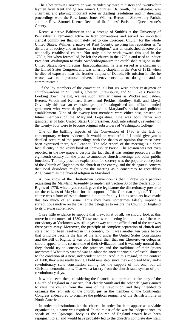The Chestertown Convention was attended by three ministers and twenty-four laymen from Kent and Queen Anne's Counties. Dr. Smith, the instigator, was chairman; and playing important roles in drafting resolutions and in directing proceedings were the Rev. James Jones Wilmer, Rector of Shrewsbury Parish, and the Rev. Samuel Keene, Rector of St. Lukes' Parish in Queen Anne's County.

Keene, a native Baltimorian and a protege of Smith's at the University of Pennsylvania, remained active in later conventions and served on important clerical committees that ultimately led to one Episcopal Church for the whole United States. Wilmer, a native of Kent County, savoring his reputation as "a disturber of society and an innovator in religion," was an unabashed devotee of a nationally established church. Not only did he work toward this goal in the 1780's, but when forestalled, he left the church in the 1790's and tried to induce President Washington to make Swedenborgianism the established religion in the United States. Re-embracing Episcopalianism, he later served as a chaplain of the United States Congress, and was an army chaplain in the War of 1812, when he died of exposure near the frontier outpost of Detroit. His mission in life, he wrote, was to ''promote universal benevolence, ... to do good and to communicate."

Of the lay members of the convention, all but six were either vestrymen or church-wardens in St. Paul's, Chester, Shrewsbury, and St. Luke's Parishes. Looking down the list, we see such familiar names as Wickes and Tilden, Everett, Wroth and Kennard, Brown and Perkins, Bordley, Hall, and Lloyd. Obviously this was an exclusive group of distinguished and affluent landed gentlemen who were deeply entrenched in Maryland's social and political establishment. Nine of the twenty-four members were either past, present, or future members of the Maryland Legislature. One was both father and grandfather of later United States Congressmen. And, interestingly, seventeen of the twenty- four were to become original subscribers of Washington College.

One of the baffling aspects of the Convention of 1780 is the lack of contemporary written evidence. It would be wonderful if I could give you a detailed account of the proceedings with the shades of opinion that must have been expressed there, but I cannot. The sole record of the meeting is a short factual entry in the vestry book of Shrewsbury Parish. The session was not even reported in the newspapers, despite the fact that it was routine procedure in the eighteenth century for the press to announce church meetings and other public functions. The only possible explanation for secrecy was the popular conception of the Church of England as the church of the enemy, and the delegates' concern that local dissidents might view the meeting as a conspiracy to reestablish Anglicanism as the favored religion in Maryland.

All we know of the Chestertown Convention is that it drew up a petition requesting the Maryland Assembly to implement Section 33 of the Declaration of Rights of 1776, which, you recall, gave the legislature the discretionary power to tax the citizens of Maryland for the support of "the Christian religion." This of course was a form of establishment, but quite frankly 1 think scholars have made this too much of an issue. Thus they have sometimes falsely implied a surreptitious motive on the part of the delegates to restore the Church of England to its pre-war supremacy.

1 see little evidence to support that view. First of all, we should look at this move in the context of 1780. These men were meeting in the midst of the war: our victory at Yorktown was still a year away and the official end of the war was three years away. Moreover, the principle of complete separation of church and state had not been resolved in this country, for it was another ten years before that principle became the law of the land under the United States Constitution and the Bill of Rights. It was only logical then that our Chestertown delegates should appeal to this cornerstone of their civilization, and it was only normal that they should try to conserve the practices and the traditions of their "pious ancestors." What they wanted was to adapt the ancient principle of establishment to the condition of a new, independent nation. And in this regard, in the context of 1780, they were really taking a bold new step, since they endorsed Maryland's revolutionary state constitution calling for the support of not one, but all Christian denominations. That was a far cry from the church-state system of prerevolutionary days.

It would seem then, considering the financial and spiritual bankruptcy of the Church of England in America, that clearly Smith and the other delegates aimed to raise the church from the ruins of the Revolution, and they intended to organize the remnants of the church, just as the members of the Continental Congress endeavored to organize the political remnants of the British Empire in North America.

In order to institutionalize the church, in order for it to appear as a viable organization, a name was required. In the midst of the war for independence, to speak of the Episcopal body as the Church of England would have been repugnant to all and would have probably led to the church's complete downfall.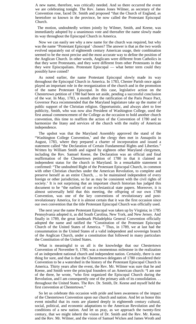A new name, therefore, was critically needed. And so there occurred the event we are celebrating tonight. The Rev. James Jones Wilmer, as secretary of the Convention rose, faced Dr. Smith and proposed "that the Church of England, as heretofore so known in the province, be now called the Protestant Episcopal Church.

The motion, undoubtedly written jointly by Wilmer, Smith, and Keene, was immediately adopted by a unanimous vote and thereafter the name slowly made its way throughout the Episcopal Church in America.

Now we can easily see why a new name for the church was required, but why was the name "Protestant Episcopal ' chosen? The answer is that as the two words evolved separately out of eighteenth century American usage, their combination seemed to be the most precise and the most accurate way to define the position of the Anglican Church. In other words, Anglicans were different from Catholics in that they were Protestants, and they were different from other Protestants in that they were Episcopalians. Protestant Episcopal — what better term could they possibly have coined?

As noted earlier, the name Protestant Episcopal slowly made its way throughout the Episcopal Church in America. In 1783, Chester Parish once again played an important role in the reorganization of the church and in the promotion of the name Protestant Episcopal. In this case, legislative action on the Chestertown petition of 1780 had been set aside, pending a successful conclusion of the war. In May, 1783, a month after the ratification of the Paris Peace Pact, Governor Paca recommended that the Maryland legislature take up the matter of public support of the Christian religion. Opportunistic, and always alert to free publicity, Smith, who was now also President of Washington College, used the first annual commencement of the College as the occasion to hold another church convention, this time to reaffirm the action of the Convention of 1780 and to harmonize the litany and services of the church with the reality of American independence.

The upshot was that the Maryland Assembly approved the stand of the "Washington College Convention,' and the clergy then met in Annapolis in August, 1783, where they prepared a charter of incorporation and issued a statement called "the Declaration of Certain Fundamental Rights and Liberties." Written by William Smith and signed by eighteen other Maryland clergymen, including the Rev. Samuel Keene, the Declaration was an official and final reaffirmation of the Chestertown petition of 1780 in that it claimed an independent status for the church in Maryland. In a remarkable statement it confirmed: "The undoubted Right of the Protestant Episcopal Church, in common with other Christian churches under the American Revolution, to complete and preserve herself as an entire Church, ... to be maintained independent of every foreign or other jurisdiction, so far as may be consistent with the civil rights of society.' It is not surprising that an important church historian has judged this document to be "the earliest of our ecclesiastical state papers. Moreover, it is almost universally held that this meeting, the offspring of our own 1780 Convention, was one of the key conventions of revolutionary and postrevolutionary America, for it is almost certain that it was the first occasion since our own convention that the title Protestant Episcopal Church was officially used.

The next year the name Protestant Episcopal was taken up by Virginia; in 1785 Pennsylvania adopted it, as did South Carolina, New York, and New Jersey. And finally in 1789, the great landmark Philadelphia General Convention officially adopted the name and ratified the "Constitution of the Protestant Episcopal Church of the United States of America. " Thus, in 1789, we at last had the consummation in the United States of a valid independent and sovereign branch of the Anglican Church, under a constitution that followed in many particulars the Constitution of the United States.

What is meaningful to us all is the knowledge that our Chestertown Convention of November 9, 1780, was a momentous milestone in the realization of an independent national church and independent nation. Certainly, there is one thing for sure, and that is that the Chestertown delegates of 1780 considered their Convention to be a watershed in the history of the Protestant Episcopal Church in America. Thirty years after the event, the Rev. Mr. Wilmer was sure that he and Keene, and Smith were the principal founders of an American church: **"I** am one of the three, he wrote, "who first organized the Episcopal Church during the Revolution, and **I** am consequently one of the primary aids of its consolidation. . . throughout the United States. The Rev. Dr. Smith, Dr. Keene and myself held the first convention at Chestertown.'

So let us celebrate this occasion with pride and keen awareness of the impact of the Chestertown Convention upon our church and nation. And let us honor this event mindful that its roots are planted deeply in eighteenth century cultural, social, political, and economic adaptations to the American Revolution and the conditions of a new nation. And let us pray, as we approach the twenty-first century, that we might inherit the vision of Dr. Smith and the Rev. Mr. Keene, and the Rev. Mr. Wilmer, and the vision of Samuel Wickes and James Wroth and